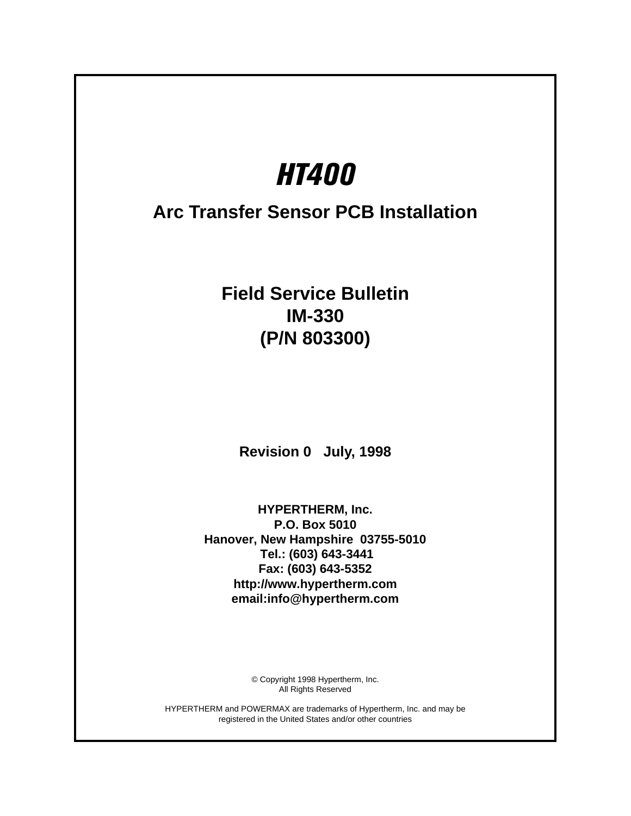# *HT400*

## **Arc Transfer Sensor PCB Installation**

**Field Service Bulletin IM-330 (P/N 803300)**

**Revision 0 July, 1998**

**HYPERTHERM, Inc. P.O. Box 5010 Hanover, New Hampshire 03755-5010 Tel.: (603) 643-3441 Fax: (603) 643-5352 http://www.hypertherm.com email:info@hypertherm.com**

> © Copyright 1998 Hypertherm, Inc. All Rights Reserved

HYPERTHERM and POWERMAX are trademarks of Hypertherm, Inc. and may be registered in the United States and/or other countries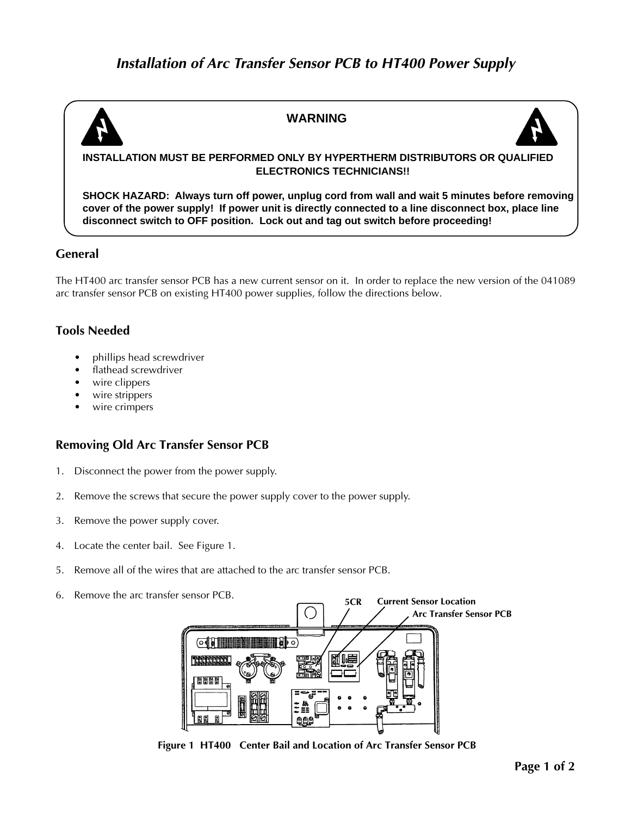

#### **WARNING**



#### **INSTALLATION MUST BE PERFORMED ONLY BY HYPERTHERM DISTRIBUTORS OR QUALIFIED ELECTRONICS TECHNICIANS!!**

**SHOCK HAZARD: Always turn off power, unplug cord from wall and wait 5 minutes before removing cover of the power supply! If power unit is directly connected to a line disconnect box, place line disconnect switch to OFF position. Lock out and tag out switch before proceeding!**

#### **General**

The HT400 arc transfer sensor PCB has a new current sensor on it. In order to replace the new version of the 041089 arc transfer sensor PCB on existing HT400 power supplies, follow the directions below.

#### **Tools Needed**

- phillips head screwdriver
- flathead screwdriver
- wire clippers
- wire strippers
- wire crimpers

#### **Removing Old Arc Transfer Sensor PCB**

- 1. Disconnect the power from the power supply.
- 2. Remove the screws that secure the power supply cover to the power supply.
- 3. Remove the power supply cover.
- 4. Locate the center bail. See Figure 1.
- 5. Remove all of the wires that are attached to the arc transfer sensor PCB.
- 6. Remove the arc transfer sensor PCB.



**Figure 1 HT400 Center Bail and Location of Arc Transfer Sensor PCB**